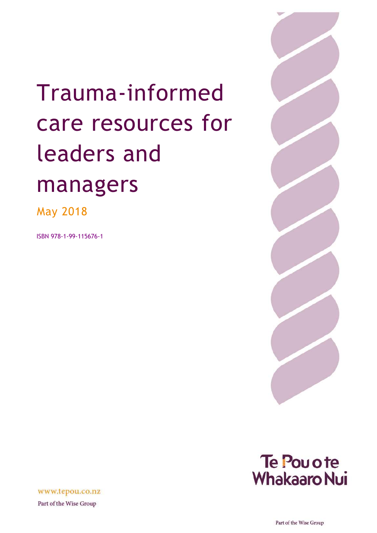# Trauma-informed care resources for leaders and managers

May 2018

ISBN 978-1-99-115676-1





www.tepou.co.nz

Part of the Wise Group

Part of the Wise Group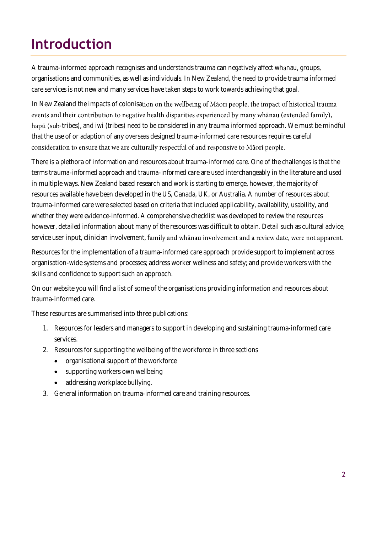# **Introduction**

A trauma-informed approach recognises and understands trauma can negatively affect whanau, groups, organisations and communities, as well as individuals. In New Zealand, the need to provide trauma informed care services is not new and many services have taken steps to work towards achieving that goal.

In New Zealand the impacts of colonisation on the wellbeing of Maori people, the impact of historical trauma events and their contribution to negative health disparities experienced by many whanau (extended family), hapū (sub-tribes), and iwi (tribes) need to be considered in any trauma informed approach. We must be mindful that the use of or adaption of any overseas designed trauma-informed care resources requires careful consideration to ensure that we are culturally respectful of and responsive to Māori people.

There is a plethora of information and resources about trauma-informed care. One of the challenges is that the terms *trauma-informed approach* and *trauma-informed care* are used interchangeably in the literature and used in multiple ways. New Zealand based research and work is starting to emerge, however, the majority of resources available have been developed in the US, Canada, UK, or Australia. A number of resources about trauma-informed care were selected based on criteria that included applicability, availability, usability, and whether they were evidence-informed. A comprehensive checklist was developed to review the resources however, detailed information about many of the resources was difficult to obtain. Detail such as cultural advice, service user input, clinician involvement, family and whanau involvement and a review date, were not apparent.

Resources for the implementation of a trauma-informed care approach provide support to implement across organisation-wide systems and processes; address worker wellness and safety; and provide workers with the skills and confidence to support such an approach.

On our website you will find a list of some of the organisations providing information and resources about trauma-informed care.

These resources are summarised into three publications:

- 1. Resources for leaders and managers to support in developing and sustaining trauma-informed care services.
- 2. Resources for supporting the wellbeing of the workforce in three sections
	- organisational support of the workforce
	- supporting workers own wellbeing
	- addressing workplace bullying.
- 3. General information on trauma-informed care and training resources.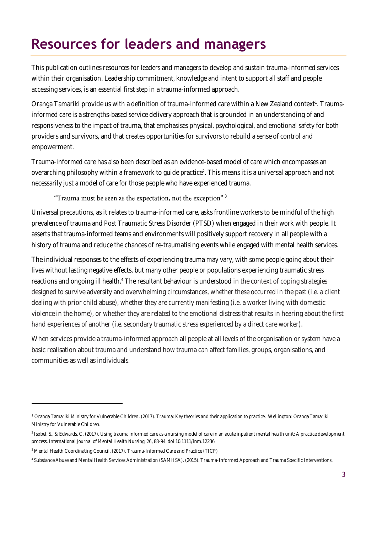# **Resources for leaders and managers**

This publication outlines resources for leaders and managers to develop and sustain trauma-informed services within their organisation. Leadership commitment, knowledge and intent to support all staff and people accessing services, is an essential first step in a trauma-informed approach.

Oranga Tamariki provide us with a definition of trauma-informed care within a New Zealand context<sup>1</sup>. Traumainformed care is a strengths-based service delivery approach that is grounded in an understanding of and responsiveness to the impact of trauma, that emphasises physical, psychological, and emotional safety for both providers and survivors, and that creates opportunities for survivors to rebuild a sense of control and empowerment.

Trauma-informed care has also been described as an evidence-based model of care which encompasses an overarching philosophy within a framework to guide practice<sup>2</sup>. This means it is a universal approach and not necessarily just a model of care for those people who have experienced trauma.

#### "Trauma must be seen as the expectation, not the exception"<sup>3</sup>

Universal precautions, as it relates to trauma-informed care, asks frontline workers to be mindful of the high prevalence of trauma and Post Traumatic Stress Disorder (PTSD) when engaged in their work with people. It asserts that trauma-informed teams and environments will positively support recovery in all people with a history of trauma and reduce the chances of re-traumatising events while engaged with mental health services.

The individual responses to the effects of experiencing trauma may vary, with some people going about their lives without lasting negative effects, but many other people or populations experiencing traumatic stress reactions and ongoing ill health.<sup>4</sup> The resultant behaviour is understood in the context of coping strategies designed to survive adversity and overwhelming circumstances, whether these occurred in the past (i.e. a client dealing with prior child abuse), whether they are currently manifesting (i.e. a worker living with domestic violence in the home), or whether they are related to the emotional distress that results in hearing about the first hand experiences of another (i.e. secondary traumatic stress experienced by a direct care worker).

When services provide a trauma-informed approach all people at all levels of the organisation or system have a basic realisation about trauma and understand how trauma can affect families, groups, organisations, and communities as well as individuals.

<sup>1</sup> Oranga Tamariki Ministry for Vulnerable Children. (2017). *Trauma: Key theories and their application to practice*. Wellington: Oranga Tamariki Ministry for Vulnerable Children.

<sup>2</sup> Isobel, S., & Edwards, C. (2017). Using trauma informed care as a nursing model of care in an acute inpatient mental health unit: A practice development process. *International Journal of Mental Health Nursing, 26*, 88-94. doi:10.1111/inm.12236

<sup>&</sup>lt;sup>3</sup> Mental Health Coordinating Council. (2017). Trauma-Informed Care and Practice (TICP)

<sup>4</sup> Substance Abuse and Mental Health Services Administration (SAMHSA). (2015). Trauma-Informed Approach and Trauma Specific Interventions.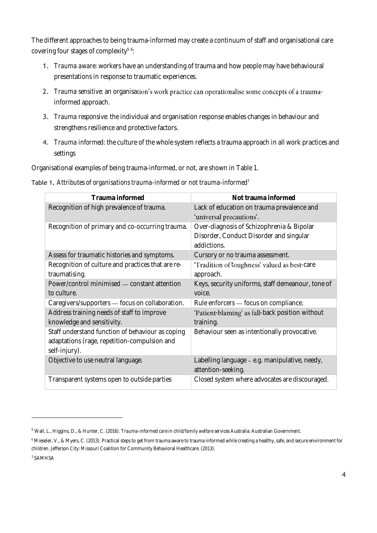The different approaches to being trauma-informed may create a continuum of staff and organisational care covering four stages of complexity<sup>5 6</sup>:

- 1. *Trauma aware:* workers have an understanding of trauma and how people may have behavioural presentations in response to traumatic experiences.
- 2. *Trauma sensitive:* an organisation's work practice can operationalise some concepts of a traumainformed approach.
- 3. *Trauma responsive:* the individual and organisation response enables changes in behaviour and strengthens resilience and protective factors.
- 4. *Trauma informed:* the culture of the whole system reflects a trauma approach in all work practices and settings

Organisational examples of being trauma-informed, or not, are shown in [Table 1.](#page-3-0)

<span id="page-3-0"></span>Table 1**.** *Attributes of organisations trauma-informed or not trauma-informed<sup>7</sup>*

| Trauma informed                                   | Not trauma informed                               |
|---------------------------------------------------|---------------------------------------------------|
| Recognition of high prevalence of trauma.         | Lack of education on trauma prevalence and        |
|                                                   | 'universal precautions'.                          |
| Recognition of primary and co-occurring trauma.   | Over-diagnosis of Schizophrenia & Bipolar         |
|                                                   | Disorder, Conduct Disorder and singular           |
|                                                   | addictions.                                       |
| Assess for traumatic histories and symptoms.      | Cursory or no trauma assessment.                  |
| Recognition of culture and practices that are re- | 'Tradition of toughness' valued as best-care      |
| traumatising.                                     | approach.                                         |
| Power/control minimised - constant attention      | Keys, security uniforms, staff demeanour, tone of |
| to culture.                                       | voice.                                            |
| Caregivers/supporters - focus on collaboration.   | Rule enforcers - focus on compliance.             |
| Address training needs of staff to improve        | 'Patient-blaming' as fall-back position without   |
| knowledge and sensitivity.                        | training.                                         |
| Staff understand function of behaviour as coping  | Behaviour seen as intentionally provocative.      |
| adaptations (rage, repetition-compulsion and      |                                                   |
| self-injury).                                     |                                                   |
| Objective to use neutral language.                | Labelling language - e.g. manipulative, needy,    |
|                                                   | attention-seeking.                                |
| Transparent systems open to outside parties       | Closed system where advocates are discouraged.    |

7 SAMHSA

<sup>5</sup> Wall, L., Higgins, D., & Hunter, C. (2016). *Trauma-informed care in child/family welfare services* Australia: Australian Government.

<sup>6</sup> Mieseler, V., & Myers, C. (2013). Practical steps to get from trauma aware to trauma informed while creating a healthy, safe, and secure environment for children. Jefferson City: Missouri Coalition for Community Behavioral Healthcare. (2013).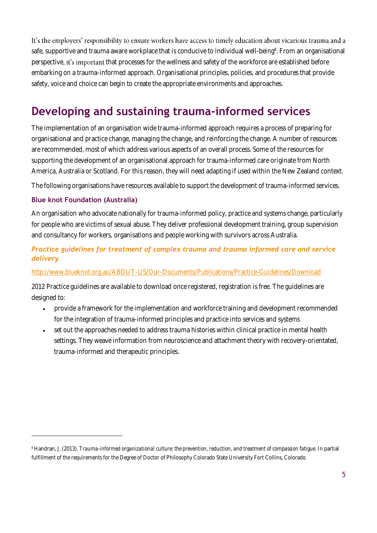It's the employers' responsibility to ensure workers have access to timely education about vicarious trauma and a safe, supportive and trauma aware workplace that is conducive to individual well-being<sup>8</sup>. From an organisational perspective, it's important that processes for the wellness and safety of the workforce are established before embarking on a trauma-informed approach. Organisational principles, policies, and procedures that provide safety, voice and choice can begin to create the appropriate environments and approaches.

# **Developing and sustaining trauma-informed services**

The implementation of an organisation wide trauma-informed approach requires a process of preparing for organisational and practice change, managing the change, and reinforcing the change. A number of resources are recommended, most of which address various aspects of an overall process. Some of the resources for supporting the development of an organisational approach for trauma-informed care originate from North America, Australia or Scotland. For this reason, they will need adapting if used within the New Zealand context.

The following organisations have resources available to support the development of trauma-informed services.

# **Blue knot Foundation (Australia)**

An organisation who advocate nationally for trauma-informed policy, practice and systems change, particularly for people who are victims of sexual abuse. They deliver professional development training, group supervision and consultancy for workers, organisations and people working with survivors across Australia.

# *Practice guidelines for treatment of complex trauma and trauma informed care and service delivery*

#### <http://www.blueknot.org.au/ABOUT-US/Our-Documents/Publications/Practice-Guidelines/Download>

2012 Practice guidelines are available to download once registered, registration is free. The guidelines are designed to:

- provide a framework for the implementation and workforce training and development recommended for the integration of trauma-informed principles and practice into services and systems
- set out the approaches needed to address trauma histories within clinical practice in mental health settings. They weave information from neuroscience and attachment theory with recovery-orientated, trauma-informed and therapeutic principles.

<sup>8</sup> Handran, J. (2013). *Trauma-informed organizational culture: the prevention, reduction, and treatment of compassion fatigue*. In partial fulfillment of the requirements for the Degree of Doctor of Philosophy Colorado State University Fort Collins, Colorado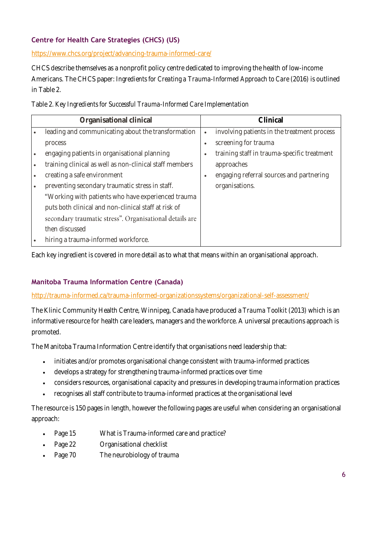# **Centre for Health Care Strategies (CHCS) (US)**

<https://www.chcs.org/project/advancing-trauma-informed-care/>

CHCS describe themselves as a nonprofit policy centre dedicated to improving the health of low-income Americans. The CHCS paper: *Ingredients for Creating a Trauma-Informed Approach to Care* (2016) is outlined in [Table 2.](#page-5-0)

<span id="page-5-0"></span>

|  | Table 2. Key Ingredients for Successful Trauma-Informed Care Implementation |
|--|-----------------------------------------------------------------------------|
|--|-----------------------------------------------------------------------------|

| leading and communicating about the transformation<br>$\bullet$                                                                                                                                                                                                                                                                                                                                                                                                                            | involving patients in the treatment process                                                                                                     |
|--------------------------------------------------------------------------------------------------------------------------------------------------------------------------------------------------------------------------------------------------------------------------------------------------------------------------------------------------------------------------------------------------------------------------------------------------------------------------------------------|-------------------------------------------------------------------------------------------------------------------------------------------------|
| process<br>$\bullet$<br>engaging patients in organisational planning<br>$\bullet$<br>training clinical as well as non-clinical staff members<br>$\bullet$<br>creating a safe environment<br>$\bullet$<br>preventing secondary traumatic stress in staff.<br>"Working with patients who have experienced trauma<br>puts both clinical and non-clinical staff at risk of<br>secondary traumatic stress". Organisational details are<br>then discussed<br>hiring a trauma-informed workforce. | screening for trauma<br>training staff in trauma-specific treatment<br>approaches<br>engaging referral sources and partnering<br>organisations. |

Each key ingredient is covered in more detail as to what that means within an organisational approach.

# **Manitoba Trauma Information Centre (Canada)**

#### <http://trauma-informed.ca/trauma-informed-organizationssystems/organizational-self-assessment/>

The Klinic Community Health Centre, Winnipeg, Canada have produced a *Trauma Toolkit* (2013) which is an informative resource for health care leaders, managers and the workforce. A universal precautions approach is promoted.

The Manitoba Trauma Information Centre identify that organisations need leadership that:

- initiates and/or promotes organisational change consistent with trauma-informed practices
- develops a strategy for strengthening trauma-informed practices over time
- considers resources, organisational capacity and pressures in developing trauma information practices
- recognises all staff contribute to trauma-informed practices at the organisational level

The resource is 150 pages in length, however the following pages are useful when considering an organisational approach:

- Page 15 What is Trauma-informed care and practice?
- Page 22 Organisational checklist
- Page 70 The neurobiology of trauma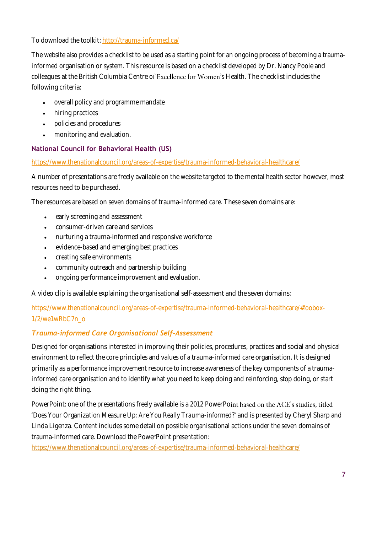To download the toolkit[: http://trauma-informed.ca/](http://trauma-informed.ca/)

The website also provides a checklist to be used as a starting point for an ongoing process of becoming a traumainformed organisation or system. This resource is based on a checklist developed by Dr. Nancy Poole and colleagues at the British Columbia Centre of Excellence for Women's Health. The checklist includes the following criteria:

- overall policy and programme mandate
- hiring practices
- policies and procedures
- monitoring and evaluation.

# **National Council for Behavioral Health (US)**

<https://www.thenationalcouncil.org/areas-of-expertise/trauma-informed-behavioral-healthcare/>

A number of presentations are freely available on the website targeted to the mental health sector however, most resources need to be purchased.

The resources are based on seven domains of trauma-informed care. These seven domains are:

- early screening and assessment
- consumer-driven care and services
- nurturing a trauma-informed and responsive workforce
- evidence-based and emerging best practices
- creating safe environments
- community outreach and partnership building
- ongoing performance improvement and evaluation.

A video clip is available explaining the organisational self-assessment and the seven domains:

[https://www.thenationalcouncil.org/areas-of-expertise/trauma-informed-behavioral-healthcare/#foobox-](https://www.thenationalcouncil.org/areas-of-expertise/trauma-informed-behavioral-healthcare/#foobox-1/2/we1wRbC7n_o)[1/2/we1wRbC7n\\_o](https://www.thenationalcouncil.org/areas-of-expertise/trauma-informed-behavioral-healthcare/#foobox-1/2/we1wRbC7n_o)

# *Trauma-informed Care Organisational Self-Assessment*

Designed for organisations interested in improving their policies, procedures, practices and social and physical environment to reflect the core principles and values of a trauma-informed care organisation. It is designed primarily as a performance improvement resource to increase awareness of the key components of a traumainformed care organisation and to identify what you need to keep doing and reinforcing, stop doing, or start doing the right thing.

PowerPoint: one of the presentations freely available is a 2012 PowerPoint based on the ACE's studies, titled *Does Your Organization Measure Up: Are You Really Trauma-informed*? and is presented by Cheryl Sharp and Linda Ligenza. Content includes some detail on possible organisational actions under the seven domains of trauma-informed care. Download the PowerPoint presentation:

<https://www.thenationalcouncil.org/areas-of-expertise/trauma-informed-behavioral-healthcare/>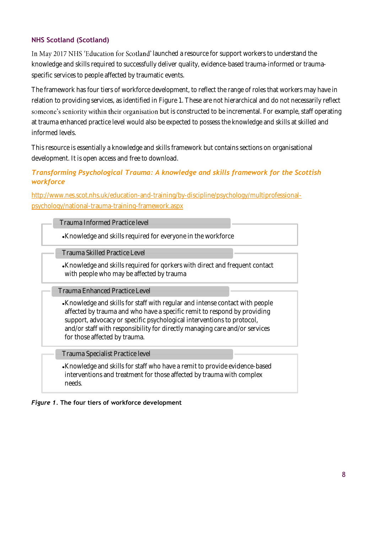# **NHS Scotland (Scotland)**

In May 2017 NHS 'Education for Scotland' launched a resource for support workers to understand the knowledge and skills required to successfully deliver quality, evidence-based trauma-informed or traumaspecific services to people affected by traumatic events.

The framework has four tiers of workforce development, to reflect the range of roles that workers may have in relation to providing services, as identified in [Figure 1.](#page-7-0) These are not hierarchical and do not necessarily reflect someone's seniority within their organisation but is constructed to be incremental. For example, staff operating at trauma enhanced practice level would also be expected to possess the knowledge and skills at skilled and informed levels.

This resource is essentially a knowledge and skills framework but contains sections on organisational development. It is open access and free to download.

#### *Transforming Psychological Trauma: A knowledge and skills framework for the Scottish workforce*

[http://www.nes.scot.nhs.uk/education-and-training/by-discipline/psychology/multiprofessional](http://www.nes.scot.nhs.uk/education-and-training/by-discipline/psychology/multiprofessional-psychology/national-trauma-training-framework.aspx)[psychology/national-trauma-training-framework.aspx](http://www.nes.scot.nhs.uk/education-and-training/by-discipline/psychology/multiprofessional-psychology/national-trauma-training-framework.aspx)

| Trauma Informed Practice level |
|--------------------------------|
|--------------------------------|

Knowledge and skills required for everyone in the workforce

Trauma Skilled Practice Level

Knowledge and skills required for qorkers with direct and frequent contact with people who may be affected by trauma

Trauma Enhanced Practice Level

Knowledge and skills for staff with regular and intense contact with people affected by trauma and who have a specific remit to respond by providing support, advocacy or specific psychological interventions to protocol, and/or staff with responsibility for directly managing care and/or services for those affected by trauma.

Trauma Specialist Practice level

Knowledge and skills for staff who have a remit to provide evidence-based interventions and treatment for those affected by trauma with complex needs.

<span id="page-7-0"></span>*Figure 1.* **The four tiers of workforce development**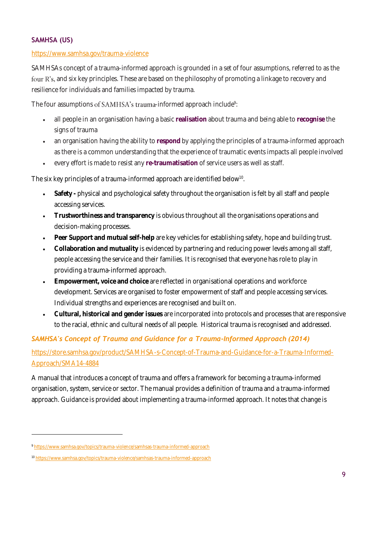# **SAMHSA (US)**

#### <https://www.samhsa.gov/trauma-violence>

SAMHSAs concept of a trauma-informed approach is grounded in a set of four assumptions, referred to as the four R's, and six key principles. These are based on the philosophy of promoting a linkage to recovery and resilience for individuals and families impacted by trauma.

The four assumptions of SAMHSA's trauma-informed approach include $^{\rm 9:}$ 

- all people in an organisation having a basic **realisation** about trauma and being able to **recognise** the signs of trauma
- an organisation having the ability to **respond** by applying the principles of a trauma-informed approach as there is a common understanding that the experience of traumatic events impacts all people involved
- every effort is made to resist any **re-traumatisation** of service users as well as staff.

The six key principles of a trauma-informed approach are identified below $^{\rm 10}$ .

- **Safety -** physical and psychological safety throughout the organisation is felt by all staff and people accessing services.
- **Trustworthiness and transparency** is obvious throughout all the organisations operations and decision-making processes.
- **Peer Support and mutual self-help** are key vehicles for establishing safety, hope and building trust.
- **Collaboration and mutuality** is evidenced by partnering and reducing power levels among all staff, people accessing the service and their families. It is recognised that everyone has role to play in providing a trauma-informed approach.
- **Empowerment, voice and choice** are reflected in organisational operations and workforce development. Services are organised to foster empowerment of staff and people accessing services. Individual strengths and experiences are recognised and built on.
- **Cultural, historical and gender issues** are incorporated into protocols and processes that are responsive to the racial, ethnic and cultural needs of all people. Historical trauma is recognised and addressed.

# *SAMHSA's Concept of Trauma and Guidance for a Trauma-Informed Approach (2014)*

[https://store.samhsa.gov/product/SAMHSA-s-Concept-of-Trauma-and-Guidance-for-a-Trauma-Informed-](https://store.samhsa.gov/product/SAMHSA-s-Concept-of-Trauma-and-Guidance-for-a-Trauma-Informed-Approach/SMA14-4884)[Approach/SMA14-4884](https://store.samhsa.gov/product/SAMHSA-s-Concept-of-Trauma-and-Guidance-for-a-Trauma-Informed-Approach/SMA14-4884)

A manual that introduces a concept of trauma and offers a framework for becoming a trauma-informed organisation, system, service or sector. The manual provides a definition of trauma and a trauma-informed approach. Guidance is provided about implementing a trauma-informed approach. It notes that change is

 $\overline{a}$ 

<sup>9</sup> <https://www.samhsa.gov/topics/trauma-violence/samhsas-trauma-informed-approach>

<sup>10</sup> <https://www.samhsa.gov/topics/trauma-violence/samhsas-trauma-informed-approach>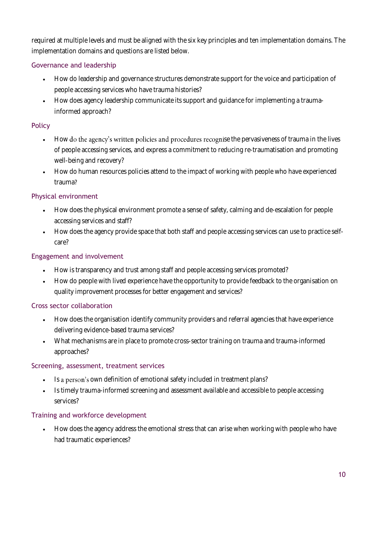required at multiple levels and must be aligned with the six key principles and ten implementation domains. The implementation domains and questions are listed below.

# Governance and leadership

- How do leadership and governance structures demonstrate support for the voice and participation of people accessing services who have trauma histories?
- How does agency leadership communicate its support and guidance for implementing a traumainformed approach?

# Policy

- How do the agency's written policies and procedures recognise the pervasiveness of trauma in the lives of people accessing services, and express a commitment to reducing re-traumatisation and promoting well-being and recovery?
- How do human resources policies attend to the impact of working with people who have experienced trauma?

# Physical environment

- How does the physical environment promote a sense of safety, calming and de-escalation for people accessing services and staff?
- How does the agency provide space that both staff and people accessing services can use to practice selfcare?

# Engagement and involvement

- How is transparency and trust among staff and people accessing services promoted?
- How do people with lived experience have the opportunity to provide feedback to the organisation on quality improvement processes for better engagement and services?

# Cross sector collaboration

- How does the organisation identify community providers and referral agencies that have experience delivering evidence-based trauma services?
- What mechanisms are in place to promote cross-sector training on trauma and trauma-informed approaches?

# Screening, assessment, treatment services

- Is a person's own definition of emotional safety included in treatment plans?
- Is timely trauma-informed screening and assessment available and accessible to people accessing services?

# Training and workforce development

• How does the agency address the emotional stress that can arise when working with people who have had traumatic experiences?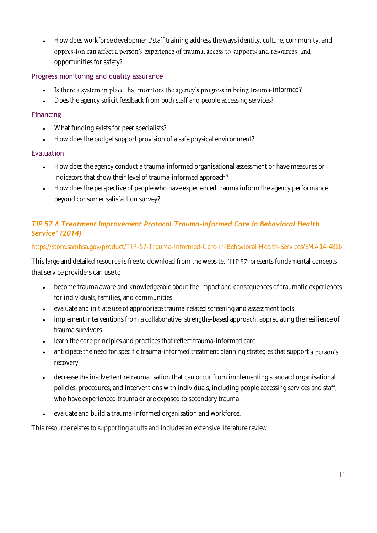• How does workforce development/staff training address the ways identity, culture, community, and oppression can affect a person's experience of trauma, access to supports and resources, and opportunities for safety?

# Progress monitoring and quality assurance

- Is there a system in place that monitors the agency's progress in being trauma-informed?
- Does the agency solicit feedback from both staff and people accessing services?

# Financing

- What funding exists for peer specialists?
- How does the budget support provision of a safe physical environment?

# Evaluation

- How does the agency conduct a trauma-informed organisational assessment or have measures or indicators that show their level of trauma-informed approach?
- How does the perspective of people who have experienced trauma inform the agency performance beyond consumer satisfaction survey?

# *TIP 57 A Treatment Improvement Protocol Trauma-informed Care in Behavioral Health Service' (2014)*

# <https://store.samhsa.gov/product/TIP-57-Trauma-Informed-Care-in-Behavioral-Health-Services/SMA14-4816>

This large and detailed resource is free to download from the website. "TIP 57' presents fundamental concepts that service providers can use to:

- become trauma aware and knowledgeable about the impact and consequences of traumatic experiences for individuals, families, and communities
- evaluate and initiate use of appropriate trauma-related screening and assessment tools
- implement interventions from a collaborative, strengths-based approach, appreciating the resilience of trauma survivors
- learn the core principles and practices that reflect trauma-informed care
- anticipate the need for specific trauma-informed treatment planning strategies that support a person's recovery
- decrease the inadvertent retraumatisation that can occur from implementing standard organisational policies, procedures, and interventions with individuals, including people accessing services and staff, who have experienced trauma or are exposed to secondary trauma
- evaluate and build a trauma-informed organisation and workforce.

This resource relates to supporting adults and includes an extensive literature review.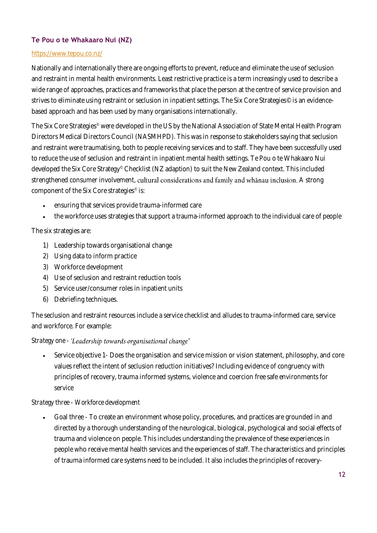#### **Te Pou o te Whakaaro Nui (NZ)**

#### <https://www.tepou.co.nz/>

Nationally and internationally there are ongoing efforts to prevent, reduce and eliminate the use of seclusion and restraint in mental health environments. Least restrictive practice is a term increasingly used to describe a wide range of approaches, practices and frameworks that place the person at the centre of service provision and strives to eliminate using restraint or seclusion in inpatient settings. The Six Core Strategies<sup>®</sup> is an evidencebased approach and has been used by many organisations internationally.

The Six Core Strategies<sup>®</sup> were developed in the US by the National Association of State Mental Health Program Directors Medical Directors Council (NASMHPD). This was in response to stakeholders saying that seclusion and restraint were traumatising, both to people receiving services and to staff. They have been successfully used to reduce the use of seclusion and restraint in inpatient mental health settings. Te Pou o te Whakaaro Nui developed the Six Core Strategy<sup>®</sup> Checklist (NZ adaption) to suit the New Zealand context. This included strengthened consumer involvement, cultural considerations and family and whanau inclusion. A strong component of the Six Core strategies $^\circ$  is:

- ensuring that services provide trauma-informed care
- the workforce uses strategies that support a trauma-informed approach to the individual care of people

#### The six strategies are:

- 1) Leadership towards organisational change
- 2) Using data to inform practice
- 3) Workforce development
- 4) Use of seclusion and restraint reduction tools
- 5) Service user/consumer roles in inpatient units
- 6) Debriefing techniques.

The seclusion and restraint resources include a service checklist and alludes to trauma-informed care, service and workforce. For example:

#### *Strategy one -*

• Service objective 1- Does the organisation and service mission or vision statement, philosophy, and core values reflect the intent of seclusion reduction initiatives? Including evidence of congruency with principles of recovery, trauma informed systems, violence and coercion free safe environments for service

#### *Strategy three - Workforce development*

• Goal three - To create an environment whose policy, procedures, and practices are grounded in and directed by a thorough understanding of the neurological, biological, psychological and social effects of trauma and violence on people. This includes understanding the prevalence of these experiences in people who receive mental health services and the experiences of staff. The characteristics and principles of trauma informed care systems need to be included. It also includes the principles of recovery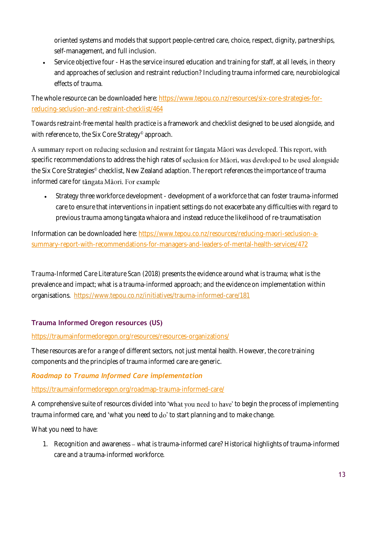oriented systems and models that support people-centred care, choice, respect, dignity, partnerships, self-management, and full inclusion.

• Service objective four - Has the service insured education and training for staff, at all levels, in theory and approaches of seclusion and restraint reduction? Including trauma informed care, neurobiological effects of trauma.

The whole resource can be downloaded here[: https://www.tepou.co.nz/resources/six-core-strategies-for](https://www.tepou.co.nz/resources/six-core-strategies-for-reducing-seclusion-and-restraint-checklist/464)[reducing-seclusion-and-restraint-checklist/464](https://www.tepou.co.nz/resources/six-core-strategies-for-reducing-seclusion-and-restraint-checklist/464)

*Towards restraint-free mental health practice* is a framework and checklist designed to be used alongside, and with reference to, the Six Core Strategy® approach.

A summary report on reducing seclusion and restraint for tangata Maori was developed. This report, with specific recommendations to address the high rates of seclusion for Māori, was developed to be used alongside the Six Core Strategies® checklist, New Zealand adaption. The report references the importance of trauma informed care for tangata Maori. For example

• Strategy three workforce development - development of a workforce that can foster trauma-informed care to ensure that interventions in inpatient settings do not exacerbate any difficulties with regard to previous trauma among tāngata whaiora and instead reduce the likelihood of re-traumatisation

Information can be downloaded here[: https://www.tepou.co.nz/resources/reducing-maori-seclusion-a](https://www.tepou.co.nz/resources/reducing-maori-seclusion-a-summary-report-with-recommendations-for-managers-and-leaders-of-mental-health-services/472)[summary-report-with-recommendations-for-managers-and-leaders-of-mental-health-services/472](https://www.tepou.co.nz/resources/reducing-maori-seclusion-a-summary-report-with-recommendations-for-managers-and-leaders-of-mental-health-services/472)

*Trauma-Informed Care Literature Scan (2018)* presents the evidence around what is trauma; what is the prevalence and impact; what is a trauma-informed approach; and the evidence on implementation within organisations.<https://www.tepou.co.nz/initiatives/trauma-informed-care/181>

# **Trauma Informed Oregon resources (US)**

#### <https://traumainformedoregon.org/resources/resources-organizations/>

These resources are for a range of different sectors, not just mental health. However, the core training components and the principles of trauma informed care are generic.

# *Roadmap to Trauma Informed Care implementation*

<https://traumainformedoregon.org/roadmap-trauma-informed-care/>

A comprehensive suite of resources divided into 'what you need to have' to begin the process of implementing trauma informed care, and 'what you need to do' to start planning and to make change.

What you need to have:

1. Recognition and awareness - what is trauma-informed care? Historical highlights of trauma-informed care and a trauma-informed workforce.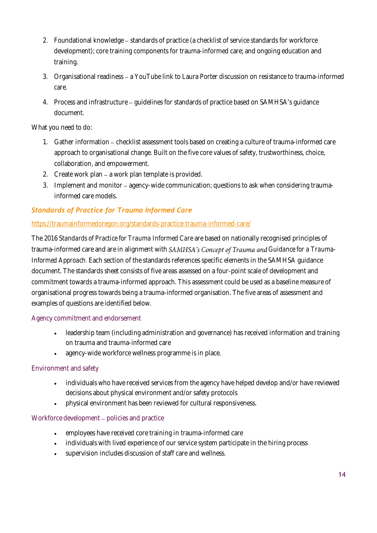- 2. Foundational knowledge standards of practice (a checklist of service standards for workforce development); core training components for trauma-informed care; and ongoing education and training.
- 3. Organisational readiness a YouTube link to Laura Porter discussion on resistance to trauma-informed care.
- 4. Process and infrastructure guidelines for standards of practice based on SAMHSA's guidance document.

What you need to do:

- 1. Gather information checklist assessment tools based on creating a culture of trauma-informed care approach to organisational change. Built on the five core values of safety, trustworthiness, choice, collaboration, and empowerment.
- 2. Create work plan a work plan template is provided.
- 3. Implement and monitor agency-wide communication; questions to ask when considering traumainformed care models.

# *Standards of Practice for Trauma Informed Care*

#### <https://traumainformedoregon.org/standards-practice-trauma-informed-care/>

The 2016 *Standards of Practice for Trauma Informed Care* are based on nationally recognised principles of trauma-informed care and are in alignment with SAMHSA's Concept of Trauma and Guidance for a Trauma-*Informed Approach*. Each section of the standards references specific elements in the SAMHSA guidance document. The standards sheet consists of five areas assessed on a four-point scale of development and commitment towards a trauma-informed approach. This assessment could be used as a baseline measure of organisational progress towards being a trauma-informed organisation. The five areas of assessment and examples of questions are identified below.

#### Agency commitment and endorsement

- leadership team (including administration and governance) has received information and training on trauma and trauma-informed care
- agency-wid[e workforce wellness](https://traumainformedoregon.org/standards-practice-trauma-informed-care/) programme is in place.

# Environment and safety

- individuals who have received services from the agency have helped develop and/or have reviewed decisions about physical environment and/or safety protocols
- physical environment has been reviewed for cultural responsiveness.

#### Workforce development – policies and practice

- employees have received core training in trauma-informed care
- individuals with lived experience of our service system participate in the hiring process
- [supervision](https://traumainformedoregon.org/standards-practice-trauma-informed-care/) includes discussion of staff care and wellness.